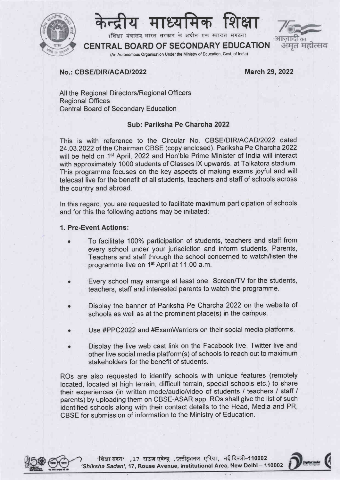



(शिक्षा मंत्रालय भारत सरकार के अधीन एक स्वायत्त

# अमत महोत्सव

CENTRAL BOARD OF SECONDARY EDUCATION (An Autonomous Organisation Under the Ministry of Education, Govt of lndia)

#### No.: CBSE/DIR/ACAD/2022

**March 29, 2022** 

All the Regional Directors/Regional Officers Regional Offices Central Board of Secondary Education

#### Sub: Pariksha Pe Charcha2022

This is with reference to the Circular No. CBSE/DIR/ACAD/2022 dated 24.O3.2022 of the Chairman CBSE (copy enclosed). Pariksha Pe Charcha2022 will be held on 1<sup>st</sup> April, 2022 and Hon'ble Prime Minister of India will interact with approximately 1000 students of Classes lX upwards, at Talkatora stadium. This programme focuses on the key aspects of making exams joyful and will telecast live for the benefit of all students, teachers and staff of schools across the country and abroad.

ln this regard, you are requested to facilitate maximum participation of schools and for this the following actions may be initiated:

#### 1. Pre-Event Actions:

- To facilitate 100% participation of students, teachers and staff from every school under your jurisdiction and inform students, Parents, Teachers and staff through the school concerned to watch/listen the programme live on 1st April at 11,00 a.m.
- o Every school may arrange at least one Screen/TV for the students, teachers, staff and interested parents to watch the programme.
- . Display the banner of Pariksha Pe Charcha 2022 on the website of schools as well as at the prominent place(s) in the campus.
- . Use #PPC2022 and #ExamWarriors on their social media platforms.
- Display the live web cast link on the Facebook live, Twitter live and other live social media platform(s) of schools to reach out to maximum stakeholders for the benefit of students.

ROs are also requested to identify schools with unique features (remotely located, located at high terrain, difficult terrain, special schools etc.) to share their experiences (in written mode/audio/video of students / teachers / staff / parents) by uploading them on CBSE-ASAR app. ROs shall give the list of such identified schools along with their contact details to the Head, Media and PR, CBSE for submission of information to the Ministry of Education.



 $\gamma$  'शिक्षा सदन' ,17 राऊज़ एवेन्यू ,इंस्टीटूशनल एरिया, नई दिल्ली–110002 'Shiksha Sadan', 17, Rouse Avenue, Institutional Area, New Delhi - 110002

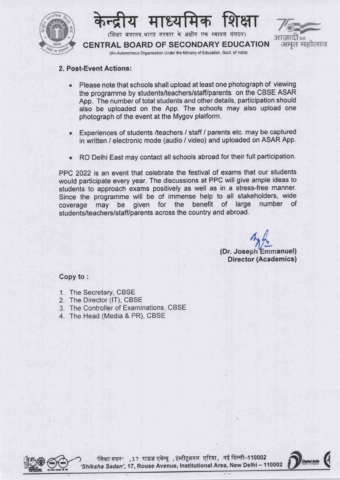



#### 2. Post-Event Actions:

- . Please note that schools shall upload at least one photograph of viewing the programme by students/teachers/staff/parents on the CBSE ASAR App. The number of total students and other details, participation should also be uploaded on the App. The schools may also upload one photograph of the event at the Mygov platform.
- o Experiences of students /teachers / staff / parents etc. may be captured in written / electronic mode (audio / video) and uploaded on ASAR App.
- RO Delhi East may contact all schools abroad for their full participation.

PPC 2022 is an event that celebrate the festival of exams that our students would participate every year. The discussions at PPC will give ample ideas to students to approach exams positively as well as in a stress-free manner. Since the programme will be of immense help to all stakeholders, wide<br>coverage may be given for the benefit of large number of coverage may be given for the benefit of large students/teachers/staff/parents across the country and abroad.

> (Dr. Joseph Emmanuel) Director (Academics)

#### Copy to :

- 1. The Secretary, CBSE
- 2. The Director (lT), CBSE
- 3. The Controller of Examinations, CBSE
- 4. The Head (Media & PR), CBSE



'शिक्षा सदन' ,17 राऊज़ एवेन्यू ,इंस्टीटूशनल एरिया, नई दिल्ली-110002 'Shiksha Sadan', 17, Rouse Avenue, Institutional Area, New Delhi - 110002

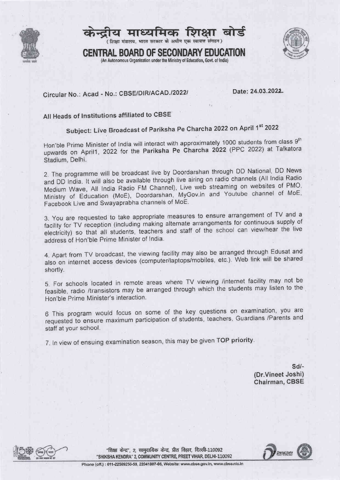



(शिक्षा मंत्रालय, भारत सरकार के अधीन एक स्वायत्त संगठन)



GENTRAL BOARD OF SECONDARY EDUCATION (An Autonomous Organisation under the Ministry of Education, Govt, of India)

### Circular No.: Acad - No.: CBSE/DIR/ACAD./2022/ Date: 24.03.2022

#### Atl Heads of lnstitutions affiliated to CBSE

## Subject: Live Broadcast of Pariksha Pe Charcha 2022 on April 1st 2022

Hon'ble Prime Minister of India will interact with approximately 1000 students from class 9<sup>th</sup> upwards on April1, 2022 for the Pariksha Pe Charcha 2022 (PPC 2022) at Talkatora Stadium, Delhi.

2. The programme will be broadcast live by Doordarshan through DD National, DD News and DD lndia. lt will also be available through live airing on radio channels (All lndia Radio Medium Wave, All India Radio FM Channel), Live web streaming on websites of PMO, Ministry of Education (MoE), Doordarshan, MyGov.in and Youtube channel of MoE' Facebook Live and Swayaprabha channels of MoE.

3. You are requested to take appropriate measures to ensure arrangement of TV and <sup>a</sup> facility for TV reception (including making alternate arrangements for continuous supply of racility for LV reception (including making alternate arrangements to commoders in the live<br>electricity) so that all students, teachers and staff of the school can view/hear the live address of Hon'ble Prime Minister of India.

4. Apart from TV broadcast, the viewing facility may also be arranged through Edusat and also on internet access devices (computer/laptops/mobiles, etc.). Web link will be shared shortly.

5. For schools located in remote areas where TV viewing /internet facility may not be feasible, radio /transistors may be arranged through which the students may listen to the Hon'ble Prime Minister's interaction.

<sup>6</sup>This program would focus on some of the key questions on examination, you are requested to ensure maximum participation of students, teachers, Guardians /Parents and staff at your school.

7. In view of ensuing examination season, this may be given TOP priority.

sd/- (Dr.Vineet Joshi) Chairman, CBSE



"शिक्षा केन्द्र" 2. सामदायिक केन्द्र, प्रीत विहार, दिल्ली-110092 "SHIKSHA KENDRA" 2, COMMUNITY CENTRE, PREET VIHAR, DELHI-110092